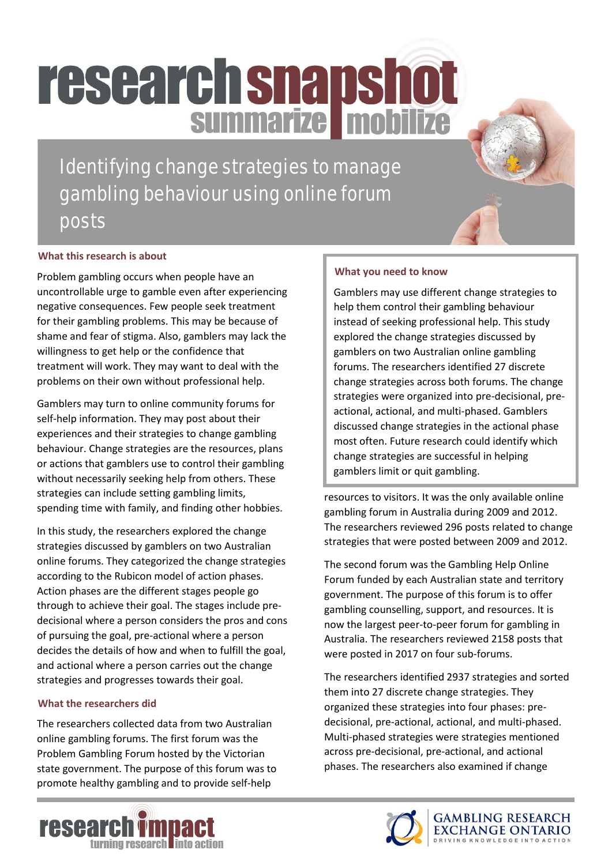# **research snapshot**

Identifying change strategies to manage gambling behaviour using online forum posts

#### **What this research is about**

Problem gambling occurs when people have an uncontrollable urge to gamble even after experiencing negative consequences. Few people seek treatment for their gambling problems. This may be because of shame and fear of stigma. Also, gamblers may lack the willingness to get help or the confidence that treatment will work. They may want to deal with the problems on their own without professional help.

Gamblers may turn to online community forums for self-help information. They may post about their experiences and their strategies to change gambling behaviour. Change strategies are the resources, plans or actions that gamblers use to control their gambling without necessarily seeking help from others. These strategies can include setting gambling limits, spending time with family, and finding other hobbies.

In this study, the researchers explored the change strategies discussed by gamblers on two Australian online forums. They categorized the change strategies according to the Rubicon model of action phases. Action phases are the different stages people go through to achieve their goal. The stages include predecisional where a person considers the pros and cons of pursuing the goal, pre-actional where a person decides the details of how and when to fulfill the goal, and actional where a person carries out the change strategies and progresses towards their goal.

#### **What the researchers did**

The researchers collected data from two Australian online gambling forums. The first forum was the Problem Gambling Forum hosted by the Victorian state government. The purpose of this forum was to promote healthy gambling and to provide self-help

#### **What you need to know**

Gamblers may use different change strategies to help them control their gambling behaviour instead of seeking professional help. This study explored the change strategies discussed by gamblers on two Australian online gambling forums. The researchers identified 27 discrete change strategies across both forums. The change strategies were organized into pre-decisional, preactional, actional, and multi-phased. Gamblers discussed change strategies in the actional phase most often. Future research could identify which change strategies are successful in helping gamblers limit or quit gambling.

resources to visitors. It was the only available online gambling forum in Australia during 2009 and 2012. The researchers reviewed 296 posts related to change strategies that were posted between 2009 and 2012.

The second forum was the Gambling Help Online Forum funded by each Australian state and territory government. The purpose of this forum is to offer gambling counselling, support, and resources. It is now the largest peer-to-peer forum for gambling in Australia. The researchers reviewed 2158 posts that were posted in 2017 on four sub-forums.

The researchers identified 2937 strategies and sorted them into 27 discrete change strategies. They organized these strategies into four phases: predecisional, pre-actional, actional, and multi-phased. Multi-phased strategies were strategies mentioned across pre-decisional, pre-actional, and actional phases. The researchers also examined if change

GAMBLING RESEARCH<br>EXCHANGE ONTARIO